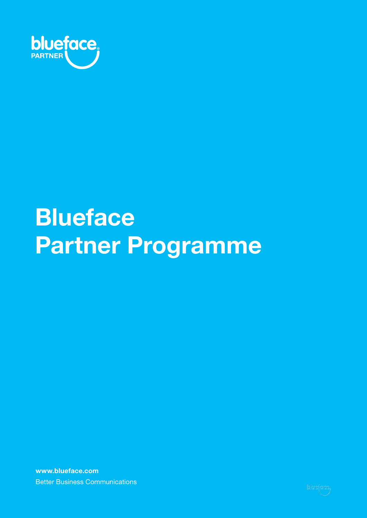

# **Blueface Partner Programme**

**www.blueface.com** Better Business Communications

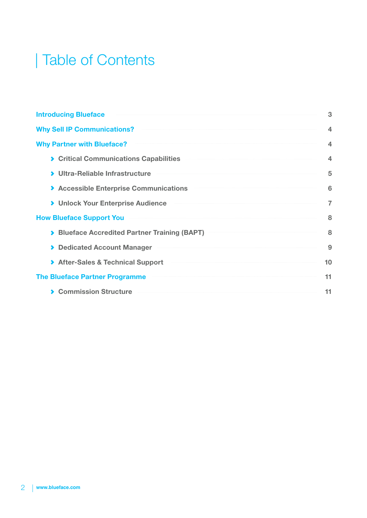### | Table of Contents

| <b>Introducing Blueface</b>                   | 3              |
|-----------------------------------------------|----------------|
| <b>Why Sell IP Communications?</b>            | 4              |
| <b>Why Partner with Blueface?</b>             | 4              |
| ▶ Critical Communications Capabilities        | $\overline{4}$ |
| > Ultra-Reliable Infrastructure               | 5              |
| Accessible Enterprise Communications          | 6              |
| > Unlock Your Enterprise Audience             | 7              |
| <b>How Blueface Support You</b>               | 8              |
| > Blueface Accredited Partner Training (BAPT) | 8              |
| <b>Dedicated Account Manager</b>              | 9              |
| > After-Sales & Technical Support             | 10             |
| <b>The Blueface Partner Programme</b>         | 11             |
| <b>Commission Structure</b>                   | 11             |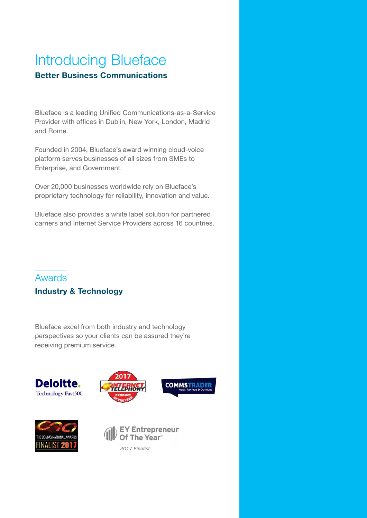### Introducing Blueface **Better Business Communications**

Blueface is a leading Unified Communications-as-a-Service Provider with offices in Dublin, New York, London, Madrid and Rome.

Founded in 2004, Blueface's award winning cloud-voice platform serves businesses of all sizes from SMEs to Enterprise, and Government.

Over 20,000 businesses worldwide rely on Blueface's proprietary technology for reliability, innovation and value.

Blueface also provides a white label solution for partnered carriers and Internet Service Providers across 16 countries.

#### Awards

#### **Industry & Technology**

Blueface excel from both industry and technology perspectives so your clients can be assured they're receiving premium service.









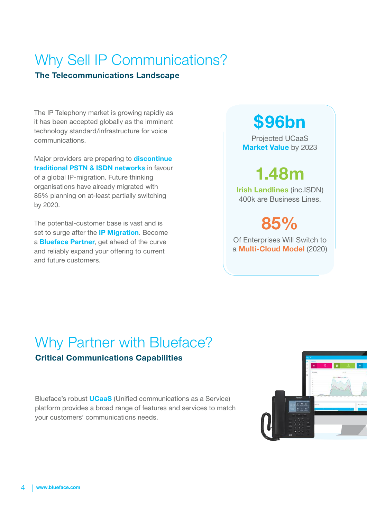### Why Sell IP Communications?

#### **The Telecommunications Landscape**

The IP Telephony market is growing rapidly as it has been accepted globally as the imminent technology standard/infrastructure for voice communications.

Major providers are preparing to **discontinue traditional PSTN & ISDN networks** in favour of a global IP-migration. Future thinking organisations have already migrated with 85% planning on at-least partially switching by 2020.

The potential-customer base is vast and is set to surge after the **IP Migration**. Become a **Blueface Partner**, get ahead of the curve and reliably expand your offering to current and future customers.

## **\$96bn**

Projected UCaaS **Market Value** by 2023

# **1.48m**

**Irish Landlines** (inc.ISDN) 400k are Business Lines.

**85%**

Of Enterprises Will Switch to a **Multi-Cloud Model** (2020)

### Why Partner with Blueface?

#### **Critical Communications Capabilities**

Blueface's robust **UCaaS** (Unified communications as a Service) platform provides a broad range of features and services to match your customers' communications needs.

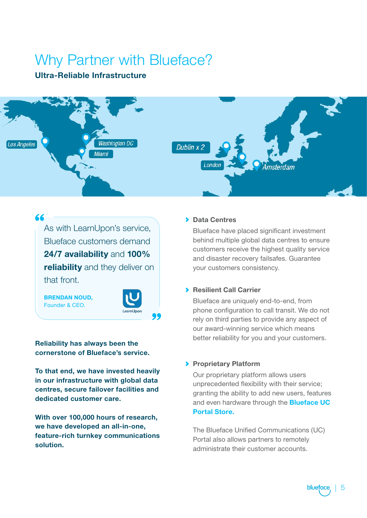### Why Partner with Blueface?

#### **Ultra-Reliable Infrastructure**



As with LearnUpon's service, Blueface customers demand **24/7 availability** and **100% reliability** and they deliver on that front.

**BRENDAN NOUD,**  Founder & CEO.

66



**Reliability has always been the cornerstone of Blueface's service.**

**To that end, we have invested heavily in our infrastructure with global data centres, secure failover facilities and dedicated customer care.**

**With over 100,000 hours of research, we have developed an all-in-one, feature-rich turnkey communications solution.**

#### **Data Centres**

Blueface have placed significant investment behind multiple global data centres to ensure customers receive the highest quality service and disaster recovery failsafes. Guarantee your customers consistency.

#### **Resilient Call Carrier**

Blueface are uniquely end-to-end, from phone configuration to call transit. We do not rely on third parties to provide any aspect of our award-winning service which means better reliability for you and your customers.

#### **Proprietary Platform**

Our proprietary platform allows users unprecedented flexibility with their service; granting the ability to add new users, features and even hardware through the **Blueface UC Portal Store.** 

The Blueface Unified Communications (UC) Portal also allows partners to remotely administrate their customer accounts.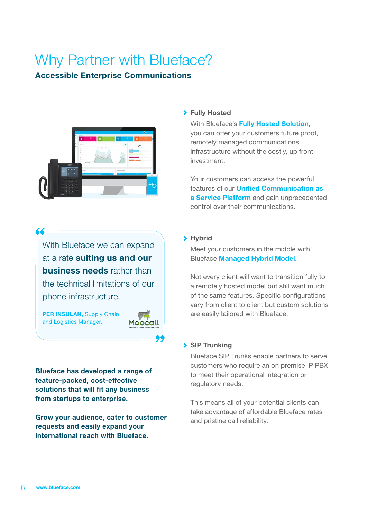### Why Partner with Blueface?

#### **Accessible Enterprise Communications**



#### 66

With Blueface we can expand at a rate **suiting us and our business needs** rather than the technical limitations of our phone infrastructure.

**PER INSULÁN,** Supply Chain and Logistics Manager.



**Blueface has developed a range of feature-packed, cost-effective solutions that will fit any business from startups to enterprise.**

**Grow your audience, cater to customer requests and easily expand your international reach with Blueface.**

#### **Fully Hosted**

With Blueface's **Fully Hosted Solution**, you can offer your customers future proof, remotely managed communications infrastructure without the costly, up front investment.

Your customers can access the powerful features of our **Unified Communication as a Service Platform** and gain unprecedented control over their communications.

#### **Hybrid**

Meet your customers in the middle with Blueface **Managed Hybrid Model**.

Not every client will want to transition fully to a remotely hosted model but still want much of the same features. Specific configurations vary from client to client but custom solutions are easily tailored with Blueface.

#### **SIP Trunking**

Blueface SIP Trunks enable partners to serve customers who require an on premise IP PBX to meet their operational integration or regulatory needs.

This means all of your potential clients can take advantage of affordable Blueface rates and pristine call reliability.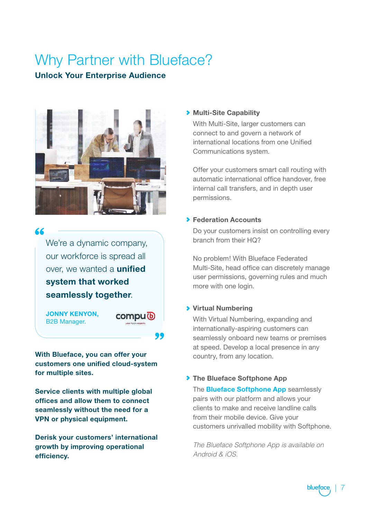### Why Partner with Blueface?

#### **Unlock Your Enterprise Audience**



#### "

We're a dynamic company, our workforce is spread all over, we wanted a **unified system that worked seamlessly together**.

**JONNY KENYON,** B2B Manager.

**compu** *l***b** 

19

**With Blueface, you can offer your customers one unified cloud-system for multiple sites.** 

**Service clients with multiple global offices and allow them to connect seamlessly without the need for a VPN or physical equipment.**

**Derisk your customers' international growth by improving operational efficiency.**

#### **Multi-Site Capability**

With Multi-Site, larger customers can connect to and govern a network of international locations from one Unified Communications system.

Offer your customers smart call routing with automatic international office handover, free internal call transfers, and in depth user permissions.

#### **Federation Accounts**

Do your customers insist on controlling every branch from their HQ?

No problem! With Blueface Federated Multi-Site, head office can discretely manage user permissions, governing rules and much more with one login.

#### **Virtual Numbering**

With Virtual Numbering, expanding and internationally-aspiring customers can seamlessly onboard new teams or premises at speed. Develop a local presence in any country, from any location.

#### **▶ The Blueface Softphone App**

The **Blueface Softphone App** seamlessly pairs with our platform and allows your clients to make and receive landline calls from their mobile device. Give your customers unrivalled mobility with Softphone.

*The Blueface Softphone App is available on Android & iOS.*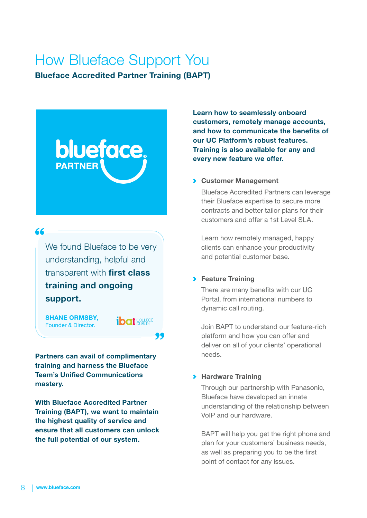### How Blueface Support You

**Blueface Accredited Partner Training (BAPT)**

# **blueface PARTNER**

66

We found Blueface to be very understanding, helpful and transparent with **first class training and ongoing support.**

**SHANE ORMSBY,**  Founder & Director.

*ibat sellige* 

99

**Partners can avail of complimentary training and harness the Blueface Team's Unified Communications mastery.**

**With Blueface Accredited Partner Training (BAPT), we want to maintain the highest quality of service and ensure that all customers can unlock the full potential of our system.**

**Learn how to seamlessly onboard customers, remotely manage accounts, and how to communicate the benefits of our UC Platform's robust features. Training is also available for any and every new feature we offer.**

#### **Customer Management**

Blueface Accredited Partners can leverage their Blueface expertise to secure more contracts and better tailor plans for their customers and offer a 1st Level SLA.

Learn how remotely managed, happy clients can enhance your productivity and potential customer base.

#### **Feature Training**

There are many benefits with our UC Portal, from international numbers to dynamic call routing.

Join BAPT to understand our feature-rich platform and how you can offer and deliver on all of your clients' operational needs.

#### **Hardware Training**

Through our partnership with Panasonic, Blueface have developed an innate understanding of the relationship between VoIP and our hardware.

BAPT will help you get the right phone and plan for your customers' business needs, as well as preparing you to be the first point of contact for any issues.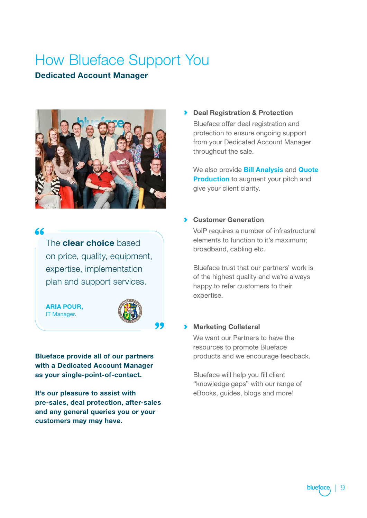### How Blueface Support You

#### **Dedicated Account Manager**



#### "

The **clear choice** based on price, quality, equipment, expertise, implementation plan and support services.

**ARIA POUR,** IT Manager.



**Blueface provide all of our partners with a Dedicated Account Manager as your single-point-of-contact.**

**It's our pleasure to assist with pre-sales, deal protection, after-sales and any general queries you or your customers may may have.**

**Deal Registration & Protection** Blueface offer deal registration and protection to ensure ongoing support from your Dedicated Account Manager throughout the sale.

We also provide **Bill Analysis** and **Quote Production** to augment your pitch and give your client clarity.

#### **Customer Generation**

VoIP requires a number of infrastructural elements to function to it's maximum; broadband, cabling etc.

Blueface trust that our partners' work is of the highest quality and we're always happy to refer customers to their expertise.

#### **Marketing Collateral**

We want our Partners to have the resources to promote Blueface products and we encourage feedback.

Blueface will help you fill client "knowledge gaps" with our range of eBooks, guides, blogs and more!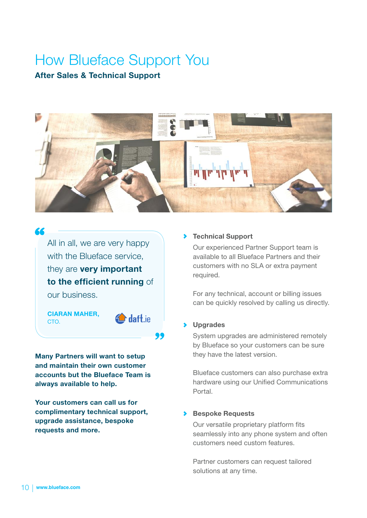# How Blueface Support You

#### **After Sales & Technical Support**



All in all, we are very happy with the Blueface service, they are **very important to the efficient running** of our business.

**CIARAN MAHER,**  CTO.

66



**Many Partners will want to setup and maintain their own customer accounts but the Blueface Team is always available to help.**

**Your customers can call us for complimentary technical support, upgrade assistance, bespoke requests and more.**

#### **Technical Support**

Our experienced Partner Support team is available to all Blueface Partners and their customers with no SLA or extra payment required.

For any technical, account or billing issues can be quickly resolved by calling us directly.

#### **Upgrades**

System upgrades are administered remotely by Blueface so your customers can be sure they have the latest version.

Blueface customers can also purchase extra hardware using our Unified Communications Portal.

#### **Bespoke Requests**

Our versatile proprietary platform fits seamlessly into any phone system and often customers need custom features.

Partner customers can request tailored solutions at any time.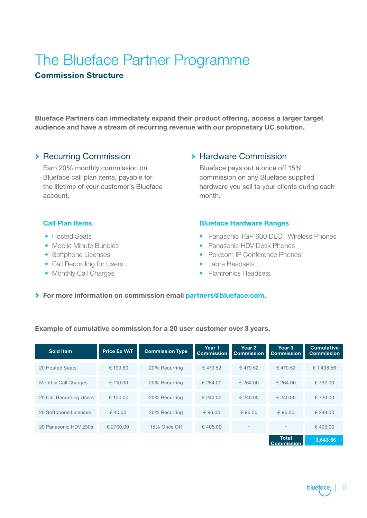### The Blueface Partner Programme **Commission Structure**

**Blueface Partners can immediately expand their product offering, access a larger target audience and have a stream of recurring revenue with our proprietary UC solution.**

#### **Recurring Commission**

Earn 20% monthly commission on Blueface call plan items, payable for the lifetime of your customer's Blueface account.

#### **> Hardware Commission**

Blueface pays out a once off 15% commission on any Blueface supplied hardware you sell to your clients during each month.

#### **Call Plan Items**

- **•** Hosted Seats
- **•** Mobile Minute Bundles
- **•** Softphone Licenses
- **•** Call Recording for Users
- **•** Monthly Call Charges

#### **Blueface Hardware Ranges**

- **•** Panasonic TGP 600 DECT Wireless Phones
- **•** Panasonic HDV Desk Phones
- **•** Polycom IP Conference Phones
- **•** Jabra Headsets
- **•** Plantronics Headsets

**For more information on commission email partners@blueface.com.**

#### **Example of cumulative commission for a 20 user customer over 3 years.**

| <b>Sold Item</b>            | <b>Price Ex VAT</b> | <b>Commission Type</b> | Year 1<br><b>Commission</b> | Year 2<br><b>Commission</b> | Year 3<br><b>Commission</b> | <b>Cumulative</b><br><b>Commission</b> |
|-----------------------------|---------------------|------------------------|-----------------------------|-----------------------------|-----------------------------|----------------------------------------|
| 20 Hosted Seats             | € 199.80            | 20% Recurring          | €479.52                     | €479.52                     | €479.52                     | € 1.438.56                             |
| <b>Monthly Call Charges</b> | $\in$ 110.00        | 20% Recurring          | € 264.00                    | € 264.00                    | € 264.00                    | € 792.00                               |
| 20 Call Recording Users     | € 100.00            | 20% Recurring          | € 240.00                    | $\in$ 240.00                | € 240.00                    | € 720.00                               |
| 20 Softphone Licenses       | € 40.00             | 20% Recurring          | € 96.00                     | € 96.00                     | € 96.00                     | € 288.00                               |
| 20 Panasonic HDV 230s       | € 2700.00           | 15% Once Off           | € 405.00                    | $\overline{\phantom{0}}$    | $\overline{\phantom{0}}$    | € 405.00                               |
|                             |                     |                        |                             |                             | <b>Total</b>                | €3.643.56                              |

**Commission**